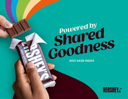# *Powered by*<br> **Powered by**<br> **Powered by**  *Shared*  **2021 SAMPLESS**

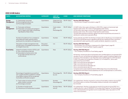| <b>TOPIC</b>                | <b>ACCOUNTING METRIC</b>                                                                                                                                                    | <b>CATEGORY</b>                   | <b>UNIT OF</b><br><b>MEASURE</b>           | <b>CODE</b>  | <b>2021 HERSHEY RESPONSE</b>                                                                                                                                                                                                                                                                                                                                                                                                                                                                                                                                                                                                                                                                                                                                                                                |
|-----------------------------|-----------------------------------------------------------------------------------------------------------------------------------------------------------------------------|-----------------------------------|--------------------------------------------|--------------|-------------------------------------------------------------------------------------------------------------------------------------------------------------------------------------------------------------------------------------------------------------------------------------------------------------------------------------------------------------------------------------------------------------------------------------------------------------------------------------------------------------------------------------------------------------------------------------------------------------------------------------------------------------------------------------------------------------------------------------------------------------------------------------------------------------|
| <b>Energy</b><br>Management | (1) Total energy consumed<br>(2) Percentage grid electricity<br>(3) Percentage renewable                                                                                    | Quantitative                      | Gigajoules (GJ),<br>Percentage (%)         | FB-PF-130a.1 | Hershey 2021 ESG Report:<br>• Environment: Energy Consumption, page 59                                                                                                                                                                                                                                                                                                                                                                                                                                                                                                                                                                                                                                                                                                                                      |
| Water<br>Management         | (1) Total water withdrawn<br>(2) Total water consumed, percentage of<br>each in regions with High or Extremely<br><b>High Baseline Water Stress</b>                         | Quantitative                      | Cubic meters<br>$(m3)$ ,<br>Percentage (%) | FB-PF-140a.1 | (1) 5,829 million liters water withdrawn in 2021 (11% in regions of extremely high<br>baseline water stress, 1% in areas of high baseline water stress)<br>(2) 914 million liters water consumed in 2021 (46% in regions of extremely high<br>baseline water stress, 2% in areas of high baseline water stress)<br>The 2021 data represents Hershey's global manufacturing facilities and owned U.S.<br>distribution centers and corporate offices.                                                                                                                                                                                                                                                                                                                                                         |
|                             | Number of incidents of non-compliance<br>associated with water quantity and/or<br>quality permits, standards, and regulations                                               | Quantitative                      | Number                                     | FB-PF-140a.2 | During calendar year 2021, The Hershey Company did not identify any noncompliances<br>with environmental laws and/or regulations giving rise to significant fines or sanctions<br>associated with water quantity and/or quality standards, regulations or permits.                                                                                                                                                                                                                                                                                                                                                                                                                                                                                                                                          |
|                             | Description of water management risks<br>and discussion of strategies and practices<br>to mitigate those risks                                                              | <b>Discussion</b><br>and Analysis | n/a                                        | FB-PF-140a.3 | Hershey 2021 ESG Report:<br>• Environment: Our Journey to Understand Our Water Impact, page 55<br>· Environment: Protecting Water Supplies, page 54                                                                                                                                                                                                                                                                                                                                                                                                                                                                                                                                                                                                                                                         |
| <b>Food Safety</b>          | Global Food Safety Initiative (GFSI) audit<br>(1) Non-conformance rate and<br>(2) Associated corrective action rate<br>for (a) major and (b) minor non-<br>conformances     | Quantitative                      | Rate                                       | FB-PF-250a.1 | Hershey 2021 ESG Report:<br>• Our Company: Excellence in Food Safety, page 16<br>All Hershey-owned manufacturing facilities were certified against a recognized GFSI<br>standard. As such, all facilities are audited annually to assess compliance against the<br>provisions of the standards. In all, 14 facilities were certified against a GFSI standard<br>in 2021. (This does not include Dot's Pretzels, LLC or Pretzels Inc., which were<br>acquired at the end of 2021.)<br>Major nonconformances identified: 0<br>Major nonconformance rate: 0.0<br>Minor nonconformances identified: 22<br>Minor nonconformance rate: 2.0<br>Corrective actions were implemented for 100% of the minor nonconformances<br>identified and submitted to and accepted by the GFSI certifying body for confirmation. |
|                             | Percentage of ingredients sourced from<br>Tier 1 supplier facilities certified to a Global<br>Food Safety Initiative (GFSI) recognized<br>food safety certification program | Quantitative                      | Percentage (%)<br>by cost                  | FB-PF-250a.2 | Hershey 2021 ESG Report:<br>• Our Company: Excellence in Food Safety, page 16                                                                                                                                                                                                                                                                                                                                                                                                                                                                                                                                                                                                                                                                                                                               |
|                             | (1) Total number of notices of food<br>safety violation received<br>(2) Percentage corrected                                                                                | Quantitative                      | Number,<br>Percentage (%)                  | FB-PF-250a.3 | On a global basis, Hershey received no notices of food safety violations during 2021.<br>Since there were no notices of food safety violations received, none needed to<br>be corrected.                                                                                                                                                                                                                                                                                                                                                                                                                                                                                                                                                                                                                    |
|                             | (1) Number of recalls issued<br>(2) Total amount of food product recalled                                                                                                   | Quantitative                      | Number, Metric FB-PF-250a.4<br>tons(t)     |              | On a global basis, Hershey conducted one recall of its products during 2021, for a<br>single production code of HERSHEY'S Chocolate Shell Topping. The recall was due<br>to an undeclared almond ingredient and included 4,850 cases, equivalent to 5.98<br>metric tons of product.                                                                                                                                                                                                                                                                                                                                                                                                                                                                                                                         |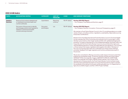| <b>TOPIC</b>                 | <b>ACCOUNTING METRIC</b>                                                                                                                      | <b>CATEGORY</b>                   | <b>UNIT OF</b><br><b>MEASURE</b> | <b>CODE</b>  | <b>2021 HERSHEY RESPONSE</b>                                                                                                                                                                                                                                                                                                                                                                                                                                                                                                                                                                                                                                                                                                                                                                                                                                                                                                                                                                                                                                                                                                                                                                                                                                                                                                                                                                                                                                                                                                                                                                                                                                                                                                                                                    |
|------------------------------|-----------------------------------------------------------------------------------------------------------------------------------------------|-----------------------------------|----------------------------------|--------------|---------------------------------------------------------------------------------------------------------------------------------------------------------------------------------------------------------------------------------------------------------------------------------------------------------------------------------------------------------------------------------------------------------------------------------------------------------------------------------------------------------------------------------------------------------------------------------------------------------------------------------------------------------------------------------------------------------------------------------------------------------------------------------------------------------------------------------------------------------------------------------------------------------------------------------------------------------------------------------------------------------------------------------------------------------------------------------------------------------------------------------------------------------------------------------------------------------------------------------------------------------------------------------------------------------------------------------------------------------------------------------------------------------------------------------------------------------------------------------------------------------------------------------------------------------------------------------------------------------------------------------------------------------------------------------------------------------------------------------------------------------------------------------|
| Health &<br><b>Nutrition</b> | Revenue from products labeled and/<br>or marketed to promote health and<br>nutrition attributes                                               | Quantitative                      | Reporting<br>currency            | FB-PF-260a.1 | Hershey 2021 ESG Report:<br>• Our Company: Food Safety and Nutrition, page 19                                                                                                                                                                                                                                                                                                                                                                                                                                                                                                                                                                                                                                                                                                                                                                                                                                                                                                                                                                                                                                                                                                                                                                                                                                                                                                                                                                                                                                                                                                                                                                                                                                                                                                   |
|                              | Discussion of the process to identify<br>and manage products and ingredients<br>related to nutritional and health<br>concerns among consumers | <b>Discussion</b><br>and Analysis | n/a                              | FB-PF-260a.2 | Hershey 2021 ESG Report:<br>• Our Company: Nutrition, Innovation, Choice and Transparency, page 15<br>We maintain a Food Claims Review Council in the U.S. providing guidance on a wide<br>variety of topics, including nutrition, ingredients, sustainability, responsible sourcing<br>and product certifications.<br>Research from the 2021 International Food Information Council's Food and Health<br>Survey indicates that 72% of consumers are looking to limit or avoid sugar. In 2021,<br>Hershey re-launched our Zero Sugar Candy portfolio with updated packaging and<br>branding. Throughout development of the updated packaging, the project team met<br>frequently with the Food Claims Review Council to ensure that all the claims and<br>required labeling elements comply with applicable law and regulations. This involved<br>a critical review of all recipes, ingredients and supplier information. Members of<br>the cross-functional project team are in attendance for these review meetings<br>and obtain feedback from legal, regulatory and nutrition professionals as part of<br>this process.<br>We are also committed to offering consumers a wide range of choices to meet their<br>preferences and lifestyle needs. To that end, Hershey recently launched Organic<br>HERSHEY'S Milk Chocolate Bar, Organic HERSHEY'S SPECIAL DARK Mildly<br>Sweet Chocolate Bar and Organic REESE'S Peanut Butter Cups. As part of the<br>development of these products, the Food Claims Review Council worked closely<br>with the product development teams to ensure that the products meet or exceed<br>the standards of the relevant third-party certifying bodies (e.g., U.S. Department of<br>Agriculture (USDA) Organic and Non-GMO Project Verified). |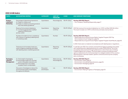| <b>TOPIC</b>                                     | <b>ACCOUNTING METRIC</b>                                                                                                                                                    | <b>CATEGORY</b>                   | <b>UNIT OF</b><br><b>MEASURE</b>   | <b>CODE</b>  | <b>2021 HERSHEY RESPONSE</b>                                                                                                                                                                                                                                                                                                                                                                                                                                                                                                        |
|--------------------------------------------------|-----------------------------------------------------------------------------------------------------------------------------------------------------------------------------|-----------------------------------|------------------------------------|--------------|-------------------------------------------------------------------------------------------------------------------------------------------------------------------------------------------------------------------------------------------------------------------------------------------------------------------------------------------------------------------------------------------------------------------------------------------------------------------------------------------------------------------------------------|
| <b>Product</b><br>Labeling &<br><b>Marketing</b> | Percentage of advertising impressions<br>(1) Made on children and<br>(2) Made on children promoting products<br>that meet dietary guidelines                                | Quantitative                      | Percentage (%)                     | FB-PF-270a.1 | Hershey 2021 ESG Report:<br>• Our Company: Marketing Responsibly, page 17                                                                                                                                                                                                                                                                                                                                                                                                                                                           |
|                                                  | Revenue from products labeled as<br>(1) Containing genetically modified<br>organisms (GMOs) and<br>(2) Non-GMO                                                              | Quantitative                      | Reporting<br>currency              | FB-PF-270a.2 | 2021 Net revenue from products labeled as non-GMO certified: \$412.46 million<br>This result includes non-GMO confectionery and salty snack products.                                                                                                                                                                                                                                                                                                                                                                               |
|                                                  | Number of incidents of non-compliance<br>with industry or regulatory labeling and/<br>or marketing codes                                                                    | Ouantitative                      | Number                             | FB-PF-270a.3 | Hershey 2021 ESG Report:<br>• Responsible Sourcing and Human Rights: Supplier Program 2021 Top<br>Noncompliance Issue Categories, page 46<br>· Responsible Sourcing and Human Rights: Supplier Program Audit Results, page 45<br>In 2021, there were no material noncompliances with labeling laws or regulations.                                                                                                                                                                                                                  |
|                                                  | Total amount of monetary losses as a<br>result of legal proceedings associated<br>with labeling and/or marketing practices                                                  | Quantitative                      | Reporting<br>currency              | FB-PF-270a.4 | In calendar year 2021, the company resolved three legal proceedings associated<br>with marketing and/or labeling practices for a total of \$153,955.42. Two of the<br>proceedings were resolved through settlements in which there was no finding<br>of liability against the company. The third matter involved a local government<br>agency's assessment of a nominal penalty for an alleged violation of the country's<br>advertising law. In all three matters, specific corrective actions by the company<br>were unnecessary. |
| Packaging<br>Lifecycle<br>Management             | (1) Total weight of packaging<br>(2) Percentage made from recycled<br>and/or renewable materials, and<br>(3) Percentage that is recyclable,<br>reusable, and/or compostable | Quantitative                      | Metric tons (t),<br>Percentage (%) | FB-PF-410a.1 | Hershey 2021 ESG Report:<br>· Environment: Goals, page 57<br>• Environment: Innovating Waste Solutions, page 56<br>• Environment: Packaging, page 60                                                                                                                                                                                                                                                                                                                                                                                |
|                                                  | Discussion of strategies to reduce the<br>environmental impact of packaging<br>throughout its lifecycle                                                                     | <b>Discussion</b><br>and Analysis | n/a                                | FB-PF-410a.2 | Hershey 2021 ESG Report:<br>• Environment: Making Progress on Packaging, page 53                                                                                                                                                                                                                                                                                                                                                                                                                                                    |